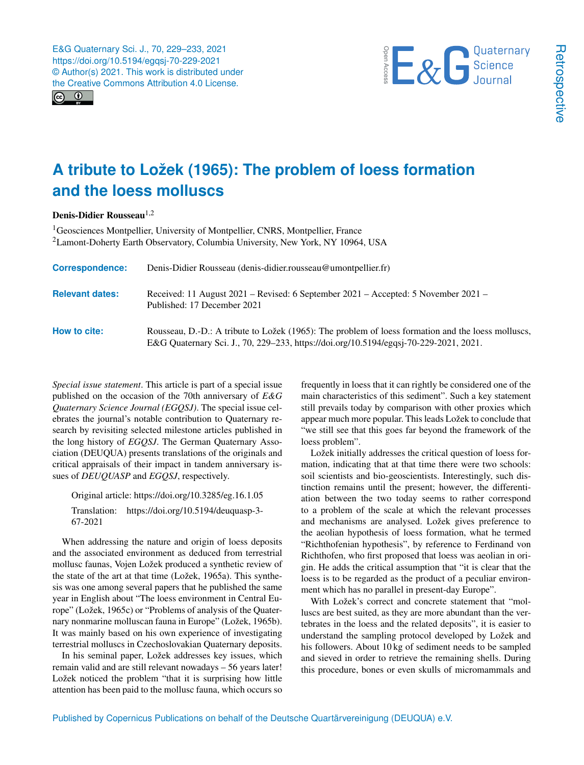



## **A tribute to Ložek (1965): The problem of loess formation and the loess molluscs**

Denis-Didier Rousseau<sup>[1,2](#page-0-0)</sup>

<sup>1</sup>Geosciences Montpellier, University of Montpellier, CNRS, Montpellier, France <sup>2</sup>Lamont-Doherty Earth Observatory, Columbia University, New York, NY 10964, USA

| <b>Correspondence:</b> | Denis-Didier Rousseau (denis-didier.rousseau@umontpellier.fr)                                                                                                                               |
|------------------------|---------------------------------------------------------------------------------------------------------------------------------------------------------------------------------------------|
| <b>Relevant dates:</b> | Received: 11 August 2021 – Revised: 6 September 2021 – Accepted: 5 November 2021 –<br>Published: 17 December 2021                                                                           |
| How to cite:           | Rousseau, D.-D.: A tribute to Ložek (1965): The problem of loess formation and the loess molluscs,<br>E&G Quaternary Sci. J., 70, 229–233, https://doi.org/10.5194/egqsj-70-229-2021, 2021. |

<span id="page-0-0"></span>*Special issue statement*. This article is part of a special issue published on the occasion of the 70th anniversary of *E&G Quaternary Science Journal (EGQSJ)*. The special issue celebrates the journal's notable contribution to Quaternary research by revisiting selected milestone articles published in the long history of *EGQSJ*. The German Quaternary Association (DEUQUA) presents translations of the originals and critical appraisals of their impact in tandem anniversary issues of *DEUQUASP* and *EGQSJ*, respectively.

Original article: https://doi.org[/10.3285/eg.16.1.05](https://doi.org/10.3285/eg.16.1.05) Translation: https://doi.org[/10.5194/deuquasp-3-](https://doi.org/10.5194/deuquasp-3-67-2021) [67-2021](https://doi.org/10.5194/deuquasp-3-67-2021)

When addressing the nature and origin of loess deposits and the associated environment as deduced from terrestrial mollusc faunas, Vojen Ložek produced a synthetic review of the state of the art at that time (Ložek, 1965a). This synthesis was one among several papers that he published the same year in English about "The loess environment in Central Europe" (Ložek, 1965c) or "Problems of analysis of the Quaternary nonmarine molluscan fauna in Europe" (Ložek, 1965b). It was mainly based on his own experience of investigating terrestrial molluscs in Czechoslovakian Quaternary deposits.

In his seminal paper, Ložek addresses key issues, which remain valid and are still relevant nowadays – 56 years later! Ložek noticed the problem "that it is surprising how little attention has been paid to the mollusc fauna, which occurs so

frequently in loess that it can rightly be considered one of the main characteristics of this sediment". Such a key statement still prevails today by comparison with other proxies which appear much more popular. This leads Ložek to conclude that "we still see that this goes far beyond the framework of the loess problem".

Ložek initially addresses the critical question of loess formation, indicating that at that time there were two schools: soil scientists and bio-geoscientists. Interestingly, such distinction remains until the present; however, the differentiation between the two today seems to rather correspond to a problem of the scale at which the relevant processes and mechanisms are analysed. Ložek gives preference to the aeolian hypothesis of loess formation, what he termed "Richthofenian hypothesis", by reference to Ferdinand von Richthofen, who first proposed that loess was aeolian in origin. He adds the critical assumption that "it is clear that the loess is to be regarded as the product of a peculiar environment which has no parallel in present-day Europe".

With Ložek's correct and concrete statement that "molluscs are best suited, as they are more abundant than the vertebrates in the loess and the related deposits", it is easier to understand the sampling protocol developed by Ložek and his followers. About 10 kg of sediment needs to be sampled and sieved in order to retrieve the remaining shells. During this procedure, bones or even skulls of micromammals and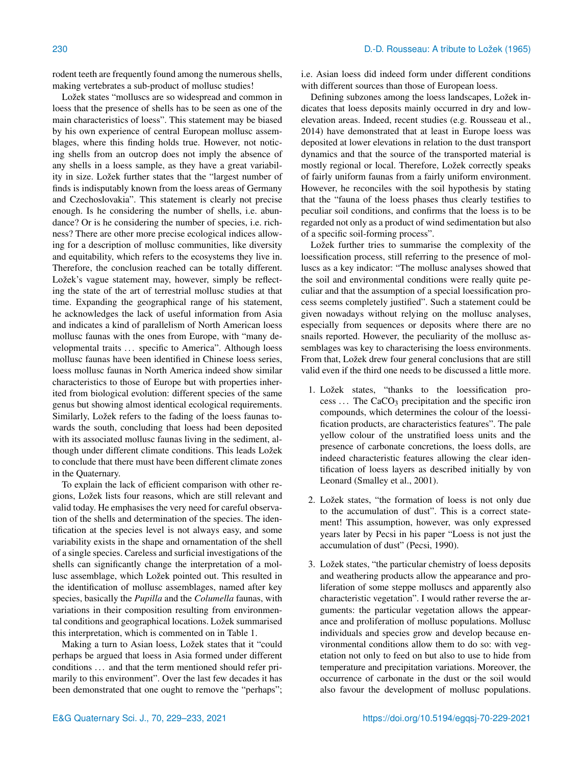rodent teeth are frequently found among the numerous shells, making vertebrates a sub-product of mollusc studies!

Ložek states "molluscs are so widespread and common in loess that the presence of shells has to be seen as one of the main characteristics of loess". This statement may be biased by his own experience of central European mollusc assemblages, where this finding holds true. However, not noticing shells from an outcrop does not imply the absence of any shells in a loess sample, as they have a great variability in size. Ložek further states that the "largest number of finds is indisputably known from the loess areas of Germany and Czechoslovakia". This statement is clearly not precise enough. Is he considering the number of shells, i.e. abundance? Or is he considering the number of species, i.e. richness? There are other more precise ecological indices allowing for a description of mollusc communities, like diversity and equitability, which refers to the ecosystems they live in. Therefore, the conclusion reached can be totally different. Ložek's vague statement may, however, simply be reflecting the state of the art of terrestrial mollusc studies at that time. Expanding the geographical range of his statement, he acknowledges the lack of useful information from Asia and indicates a kind of parallelism of North American loess mollusc faunas with the ones from Europe, with "many developmental traits ... specific to America". Although loess mollusc faunas have been identified in Chinese loess series, loess mollusc faunas in North America indeed show similar characteristics to those of Europe but with properties inherited from biological evolution: different species of the same genus but showing almost identical ecological requirements. Similarly, Ložek refers to the fading of the loess faunas towards the south, concluding that loess had been deposited with its associated mollusc faunas living in the sediment, although under different climate conditions. This leads Ložek to conclude that there must have been different climate zones in the Quaternary.

To explain the lack of efficient comparison with other regions, Ložek lists four reasons, which are still relevant and valid today. He emphasises the very need for careful observation of the shells and determination of the species. The identification at the species level is not always easy, and some variability exists in the shape and ornamentation of the shell of a single species. Careless and surficial investigations of the shells can significantly change the interpretation of a mollusc assemblage, which Ložek pointed out. This resulted in the identification of mollusc assemblages, named after key species, basically the *Pupilla* and the *Columella* faunas, with variations in their composition resulting from environmental conditions and geographical locations. Ložek summarised this interpretation, which is commented on in Table 1.

Making a turn to Asian loess, Ložek states that it "could perhaps be argued that loess in Asia formed under different conditions ... and that the term mentioned should refer primarily to this environment". Over the last few decades it has been demonstrated that one ought to remove the "perhaps";

i.e. Asian loess did indeed form under different conditions with different sources than those of European loess.

Defining subzones among the loess landscapes, Ložek indicates that loess deposits mainly occurred in dry and lowelevation areas. Indeed, recent studies (e.g. Rousseau et al., 2014) have demonstrated that at least in Europe loess was deposited at lower elevations in relation to the dust transport dynamics and that the source of the transported material is mostly regional or local. Therefore, Ložek correctly speaks of fairly uniform faunas from a fairly uniform environment. However, he reconciles with the soil hypothesis by stating that the "fauna of the loess phases thus clearly testifies to peculiar soil conditions, and confirms that the loess is to be regarded not only as a product of wind sedimentation but also of a specific soil-forming process".

Ložek further tries to summarise the complexity of the loessification process, still referring to the presence of molluscs as a key indicator: "The mollusc analyses showed that the soil and environmental conditions were really quite peculiar and that the assumption of a special loessification process seems completely justified". Such a statement could be given nowadays without relying on the mollusc analyses, especially from sequences or deposits where there are no snails reported. However, the peculiarity of the mollusc assemblages was key to characterising the loess environments. From that, Ložek drew four general conclusions that are still valid even if the third one needs to be discussed a little more.

- 1. Ložek states, "thanks to the loessification pro $cess \dots$  The CaCO<sub>3</sub> precipitation and the specific iron compounds, which determines the colour of the loessification products, are characteristics features". The pale yellow colour of the unstratified loess units and the presence of carbonate concretions, the loess dolls, are indeed characteristic features allowing the clear identification of loess layers as described initially by von Leonard (Smalley et al., 2001).
- 2. Ložek states, "the formation of loess is not only due to the accumulation of dust". This is a correct statement! This assumption, however, was only expressed years later by Pecsi in his paper "Loess is not just the accumulation of dust" (Pecsi, 1990).
- 3. Ložek states, "the particular chemistry of loess deposits and weathering products allow the appearance and proliferation of some steppe molluscs and apparently also characteristic vegetation". I would rather reverse the arguments: the particular vegetation allows the appearance and proliferation of mollusc populations. Mollusc individuals and species grow and develop because environmental conditions allow them to do so: with vegetation not only to feed on but also to use to hide from temperature and precipitation variations. Moreover, the occurrence of carbonate in the dust or the soil would also favour the development of mollusc populations.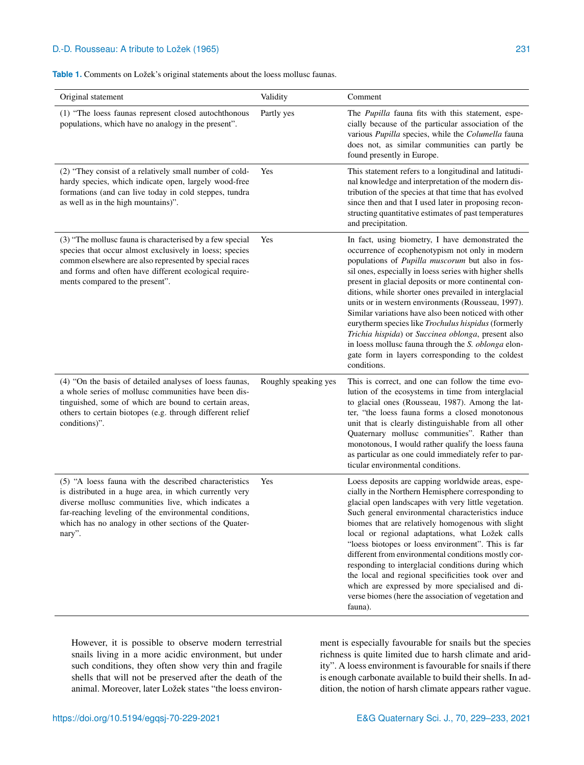## D.-D. Rousseau: A tribute to Ložek (1965) 231

**Table 1.** Comments on Ložek's original statements about the loess mollusc faunas.

| Original statement                                                                                                                                                                                                                                                                                  | Validity             | Comment                                                                                                                                                                                                                                                                                                                                                                                                                                                                                                                                                                                                                                                                                  |
|-----------------------------------------------------------------------------------------------------------------------------------------------------------------------------------------------------------------------------------------------------------------------------------------------------|----------------------|------------------------------------------------------------------------------------------------------------------------------------------------------------------------------------------------------------------------------------------------------------------------------------------------------------------------------------------------------------------------------------------------------------------------------------------------------------------------------------------------------------------------------------------------------------------------------------------------------------------------------------------------------------------------------------------|
| (1) "The loess faunas represent closed autochthonous<br>populations, which have no analogy in the present".                                                                                                                                                                                         | Partly yes           | The Pupilla fauna fits with this statement, espe-<br>cially because of the particular association of the<br>various Pupilla species, while the Columella fauna<br>does not, as similar communities can partly be<br>found presently in Europe.                                                                                                                                                                                                                                                                                                                                                                                                                                           |
| (2) "They consist of a relatively small number of cold-<br>hardy species, which indicate open, largely wood-free<br>formations (and can live today in cold steppes, tundra<br>as well as in the high mountains)".                                                                                   | Yes                  | This statement refers to a longitudinal and latitudi-<br>nal knowledge and interpretation of the modern dis-<br>tribution of the species at that time that has evolved<br>since then and that I used later in proposing recon-<br>structing quantitative estimates of past temperatures<br>and precipitation.                                                                                                                                                                                                                                                                                                                                                                            |
| (3) "The mollusc fauna is characterised by a few special<br>species that occur almost exclusively in loess; species<br>common elsewhere are also represented by special races<br>and forms and often have different ecological require-<br>ments compared to the present".                          | Yes                  | In fact, using biometry, I have demonstrated the<br>occurrence of ecophenotypism not only in modern<br>populations of Pupilla muscorum but also in fos-<br>sil ones, especially in loess series with higher shells<br>present in glacial deposits or more continental con-<br>ditions, while shorter ones prevailed in interglacial<br>units or in western environments (Rousseau, 1997).<br>Similar variations have also been noticed with other<br>eurytherm species like Trochulus hispidus (formerly<br>Trichia hispida) or Succinea oblonga, present also<br>in loess mollusc fauna through the S. oblonga elon-<br>gate form in layers corresponding to the coldest<br>conditions. |
| (4) "On the basis of detailed analyses of loess faunas,<br>a whole series of mollusc communities have been dis-<br>tinguished, some of which are bound to certain areas,<br>others to certain biotopes (e.g. through different relief<br>conditions)".                                              | Roughly speaking yes | This is correct, and one can follow the time evo-<br>lution of the ecosystems in time from interglacial<br>to glacial ones (Rousseau, 1987). Among the lat-<br>ter, "the loess fauna forms a closed monotonous<br>unit that is clearly distinguishable from all other<br>Quaternary mollusc communities". Rather than<br>monotonous, I would rather qualify the loess fauna<br>as particular as one could immediately refer to par-<br>ticular environmental conditions.                                                                                                                                                                                                                 |
| (5) "A loess fauna with the described characteristics<br>is distributed in a huge area, in which currently very<br>diverse mollusc communities live, which indicates a<br>far-reaching leveling of the environmental conditions,<br>which has no analogy in other sections of the Quater-<br>nary". | Yes                  | Loess deposits are capping worldwide areas, espe-<br>cially in the Northern Hemisphere corresponding to<br>glacial open landscapes with very little vegetation.<br>Such general environmental characteristics induce<br>biomes that are relatively homogenous with slight<br>local or regional adaptations, what Ložek calls<br>"loess biotopes or loess environment". This is far<br>different from environmental conditions mostly cor-<br>responding to interglacial conditions during which<br>the local and regional specificities took over and<br>which are expressed by more specialised and di-<br>verse biomes (here the association of vegetation and<br>fauna).              |

However, it is possible to observe modern terrestrial snails living in a more acidic environment, but under such conditions, they often show very thin and fragile shells that will not be preserved after the death of the animal. Moreover, later Ložek states "the loess environ-

ment is especially favourable for snails but the species richness is quite limited due to harsh climate and aridity". A loess environment is favourable for snails if there is enough carbonate available to build their shells. In addition, the notion of harsh climate appears rather vague.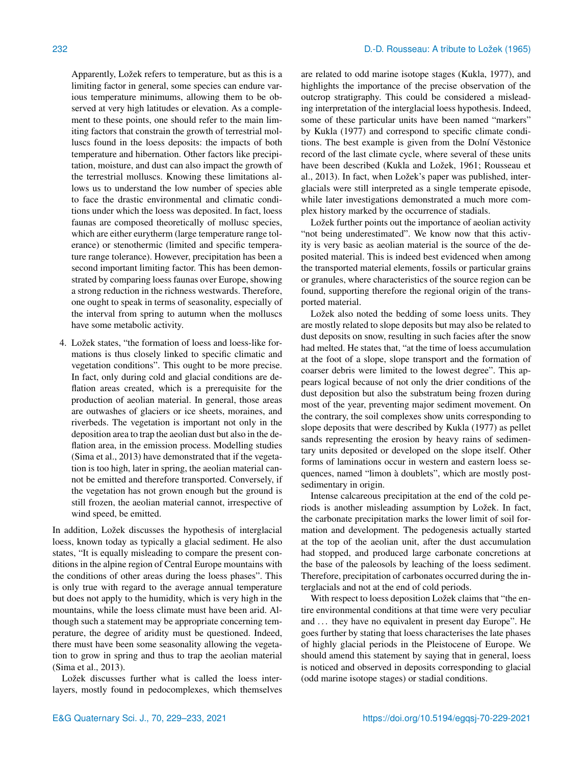Apparently, Ložek refers to temperature, but as this is a limiting factor in general, some species can endure various temperature minimums, allowing them to be observed at very high latitudes or elevation. As a complement to these points, one should refer to the main limiting factors that constrain the growth of terrestrial molluscs found in the loess deposits: the impacts of both temperature and hibernation. Other factors like precipitation, moisture, and dust can also impact the growth of the terrestrial molluscs. Knowing these limitations allows us to understand the low number of species able to face the drastic environmental and climatic conditions under which the loess was deposited. In fact, loess faunas are composed theoretically of mollusc species, which are either eurytherm (large temperature range tolerance) or stenothermic (limited and specific temperature range tolerance). However, precipitation has been a second important limiting factor. This has been demonstrated by comparing loess faunas over Europe, showing a strong reduction in the richness westwards. Therefore, one ought to speak in terms of seasonality, especially of the interval from spring to autumn when the molluscs have some metabolic activity.

4. Ložek states, "the formation of loess and loess-like formations is thus closely linked to specific climatic and vegetation conditions". This ought to be more precise. In fact, only during cold and glacial conditions are deflation areas created, which is a prerequisite for the production of aeolian material. In general, those areas are outwashes of glaciers or ice sheets, moraines, and riverbeds. The vegetation is important not only in the deposition area to trap the aeolian dust but also in the deflation area, in the emission process. Modelling studies (Sima et al., 2013) have demonstrated that if the vegetation is too high, later in spring, the aeolian material cannot be emitted and therefore transported. Conversely, if the vegetation has not grown enough but the ground is still frozen, the aeolian material cannot, irrespective of wind speed, be emitted.

In addition, Ložek discusses the hypothesis of interglacial loess, known today as typically a glacial sediment. He also states, "It is equally misleading to compare the present conditions in the alpine region of Central Europe mountains with the conditions of other areas during the loess phases". This is only true with regard to the average annual temperature but does not apply to the humidity, which is very high in the mountains, while the loess climate must have been arid. Although such a statement may be appropriate concerning temperature, the degree of aridity must be questioned. Indeed, there must have been some seasonality allowing the vegetation to grow in spring and thus to trap the aeolian material (Sima et al., 2013).

Ložek discusses further what is called the loess interlayers, mostly found in pedocomplexes, which themselves are related to odd marine isotope stages (Kukla, 1977), and highlights the importance of the precise observation of the outcrop stratigraphy. This could be considered a misleading interpretation of the interglacial loess hypothesis. Indeed, some of these particular units have been named "markers" by Kukla (1977) and correspond to specific climate conditions. The best example is given from the Dolní Věstonice record of the last climate cycle, where several of these units have been described (Kukla and Ložek, 1961; Rousseau et al., 2013). In fact, when Ložek's paper was published, interglacials were still interpreted as a single temperate episode, while later investigations demonstrated a much more complex history marked by the occurrence of stadials.

Ložek further points out the importance of aeolian activity "not being underestimated". We know now that this activity is very basic as aeolian material is the source of the deposited material. This is indeed best evidenced when among the transported material elements, fossils or particular grains or granules, where characteristics of the source region can be found, supporting therefore the regional origin of the transported material.

Ložek also noted the bedding of some loess units. They are mostly related to slope deposits but may also be related to dust deposits on snow, resulting in such facies after the snow had melted. He states that, "at the time of loess accumulation at the foot of a slope, slope transport and the formation of coarser debris were limited to the lowest degree". This appears logical because of not only the drier conditions of the dust deposition but also the substratum being frozen during most of the year, preventing major sediment movement. On the contrary, the soil complexes show units corresponding to slope deposits that were described by Kukla (1977) as pellet sands representing the erosion by heavy rains of sedimentary units deposited or developed on the slope itself. Other forms of laminations occur in western and eastern loess sequences, named "limon à doublets", which are mostly postsedimentary in origin.

Intense calcareous precipitation at the end of the cold periods is another misleading assumption by Ložek. In fact, the carbonate precipitation marks the lower limit of soil formation and development. The pedogenesis actually started at the top of the aeolian unit, after the dust accumulation had stopped, and produced large carbonate concretions at the base of the paleosols by leaching of the loess sediment. Therefore, precipitation of carbonates occurred during the interglacials and not at the end of cold periods.

With respect to loess deposition Ložek claims that "the entire environmental conditions at that time were very peculiar and ... they have no equivalent in present day Europe". He goes further by stating that loess characterises the late phases of highly glacial periods in the Pleistocene of Europe. We should amend this statement by saying that in general, loess is noticed and observed in deposits corresponding to glacial (odd marine isotope stages) or stadial conditions.